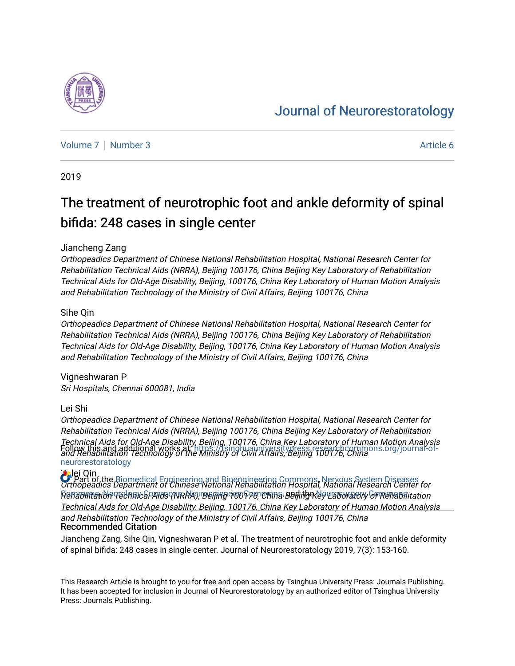# [Journal of Neurorestoratology](https://tsinghuauniversitypress.researchcommons.org/journal-of-neurorestoratology)

[Volume 7](https://tsinghuauniversitypress.researchcommons.org/journal-of-neurorestoratology/vol7) | [Number 3](https://tsinghuauniversitypress.researchcommons.org/journal-of-neurorestoratology/vol7/iss3) Article 6

2019

# The treatment of neurotrophic foot and ankle deformity of spinal bifida: 248 cases in single center

### Jiancheng Zang

Orthopeadics Department of Chinese National Rehabilitation Hospital, National Research Center for Rehabilitation Technical Aids (NRRA), Beijing 100176, China Beijing Key Laboratory of Rehabilitation Technical Aids for Old-Age Disability, Beijing, 100176, China Key Laboratory of Human Motion Analysis and Rehabilitation Technology of the Ministry of Civil Affairs, Beijing 100176, China

### Sihe Qin

Orthopeadics Department of Chinese National Rehabilitation Hospital, National Research Center for Rehabilitation Technical Aids (NRRA), Beijing 100176, China Beijing Key Laboratory of Rehabilitation Technical Aids for Old-Age Disability, Beijing, 100176, China Key Laboratory of Human Motion Analysis and Rehabilitation Technology of the Ministry of Civil Affairs, Beijing 100176, China

## Vigneshwaran P

Sri Hospitals, Chennai 600081, India

### Lei Shi

Orthopeadics Department of Chinese National Rehabilitation Hospital, National Research Center for Rehabilitation Technical Aids (NRRA), Beijing 100176, China Beijing Key Laboratory of Rehabilitation Technical Aids for Old-Age Disability, Beijing, 100176, China Key Laboratory of Human Motion Analysis Follow this and additional works at: https://tsinghuauniversitypress.researchcommons.org/journal-of-<br>and Rehabilitation Technology of the Ministry of Civil Affairs, Beijing 100176, China [neurorestoratology](https://tsinghuauniversitypress.researchcommons.org/journal-of-neurorestoratology?utm_source=tsinghuauniversitypress.researchcommons.org%2Fjournal-of-neurorestoratology%2Fvol7%2Fiss3%2F6&utm_medium=PDF&utm_campaign=PDFCoverPages) 

## **Xulei Qin**  $\bullet$  Part of the [Biomedical Engineering and Bioengineering Commons,](http://network.bepress.com/hgg/discipline/229?utm_source=tsinghuauniversitypress.researchcommons.org%2Fjournal-of-neurorestoratology%2Fvol7%2Fiss3%2F6&utm_medium=PDF&utm_campaign=PDFCoverPages) Nervous System Diseases<br>Orthopeadics Department of Chinese National Renabilitation Hospital, National Research Center for Renabmran blir u celnavc GPANIs (NRRA), mei fing 900 P 28, China Den i the Rely Laboratory GI Renabilitation Technical Aids for Old-Age Disability, Beijing, 100176, China Key Laboratory of Human Motion Analysis and Rehabilitation Technology of the Ministry of Civil Affairs, Beijing 100176, China Recommended Citation

Jiancheng Zang, Sihe Qin, Vigneshwaran P et al. The treatment of neurotrophic foot and ankle deformity of spinal bifida: 248 cases in single center. Journal of Neurorestoratology 2019, 7(3): 153-160.

This Research Article is brought to you for free and open access by Tsinghua University Press: Journals Publishing. It has been accepted for inclusion in Journal of Neurorestoratology by an authorized editor of Tsinghua University Press: Journals Publishing.

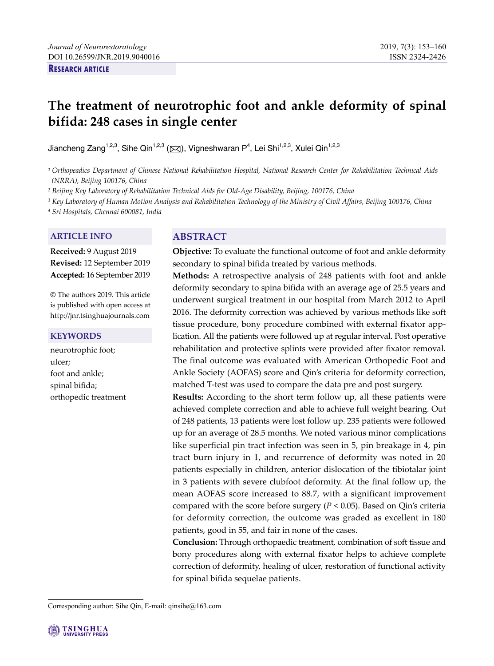### **RESEARCH ARTICLE**

# **The treatment of neurotrophic foot and ankle deformity of spinal bifida: 248 cases in single center**

Jiancheng Zang<sup>1,2,3</sup>, Sihe Qin<sup>1,2,3</sup> ( $\boxtimes$ ), Vigneshwaran P<sup>4</sup>, Lei Shi<sup>1,2,3</sup>, Xulei Qin<sup>1,2,3</sup>

*1 Orthopeadics Department of Chinese National Rehabilitation Hospital, National Research Center for Rehabilitation Technical Aids (NRRA), Beijing 100176, China* 

*2 Beijing Key Laboratory of Rehabilitation Technical Aids for Old-Age Disability, Beijing, 100176, China* 

*3 Key Laboratory of Human Motion Analysis and Rehabilitation Technology of the Ministry of Civil Affairs, Beijing 100176, China* 

*4 Sri Hospitals, Chennai 600081, India* 

### **ARTICLE INFO ABSTRACT**

**Received:** 9 August 2019 **Revised:** 12 September 2019 **Accepted:** 16 September 2019

**©** The authors 2019. This article is published with open access at http://jnr.tsinghuajournals.com

### **KEYWORDS**

neurotrophic foot; ulcer; foot and ankle; spinal bifida; orthopedic treatment

**Objective:** To evaluate the functional outcome of foot and ankle deformity secondary to spinal bifida treated by various methods.

**Methods:** A retrospective analysis of 248 patients with foot and ankle deformity secondary to spina bifida with an average age of 25.5 years and underwent surgical treatment in our hospital from March 2012 to April 2016. The deformity correction was achieved by various methods like soft tissue procedure, bony procedure combined with external fixator application. All the patients were followed up at regular interval. Post operative rehabilitation and protective splints were provided after fixator removal. The final outcome was evaluated with American Orthopedic Foot and Ankle Society (AOFAS) score and Qin's criteria for deformity correction, matched T-test was used to compare the data pre and post surgery.

**Results:** According to the short term follow up, all these patients were achieved complete correction and able to achieve full weight bearing. Out of 248 patients, 13 patients were lost follow up. 235 patients were followed up for an average of 28.5 months. We noted various minor complications like superficial pin tract infection was seen in 5, pin breakage in 4, pin tract burn injury in 1, and recurrence of deformity was noted in 20 patients especially in children, anterior dislocation of the tibiotalar joint in 3 patients with severe clubfoot deformity. At the final follow up, the mean AOFAS score increased to 88.7, with a significant improvement compared with the score before surgery  $(P < 0.05)$ . Based on Qin's criteria for deformity correction, the outcome was graded as excellent in 180 patients, good in 55, and fair in none of the cases.

**Conclusion:** Through orthopaedic treatment, combination of soft tissue and bony procedures along with external fixator helps to achieve complete correction of deformity, healing of ulcer, restoration of functional activity for spinal bifida sequelae patients.

Corresponding author: Sihe Qin, E-mail: qinsihe@163.com

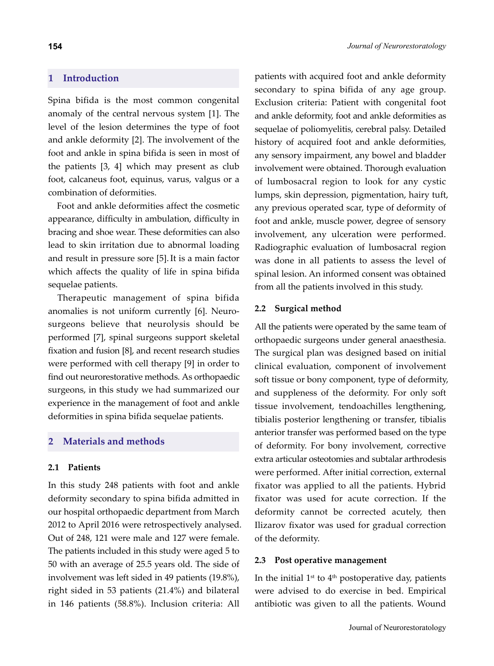# **1 Introduction**

Spina bifida is the most common congenital anomaly of the central nervous system [1]. The level of the lesion determines the type of foot and ankle deformity [2]. The involvement of the foot and ankle in spina bifida is seen in most of the patients [3, 4] which may present as club foot, calcaneus foot, equinus, varus, valgus or a combination of deformities.

Foot and ankle deformities affect the cosmetic appearance, difficulty in ambulation, difficulty in bracing and shoe wear. These deformities can also lead to skin irritation due to abnormal loading and result in pressure sore [5].It is a main factor which affects the quality of life in spina bifida sequelae patients.

Therapeutic management of spina bifida anomalies is not uniform currently [6]. Neurosurgeons believe that neurolysis should be performed [7], spinal surgeons support skeletal fixation and fusion [8], and recent research studies were performed with cell therapy [9] in order to find out neurorestorative methods. As orthopaedic surgeons, in this study we had summarized our experience in the management of foot and ankle deformities in spina bifida sequelae patients.

### **2 Materials and methods**

### **2.1 Patients**

In this study 248 patients with foot and ankle deformity secondary to spina bifida admitted in our hospital orthopaedic department from March 2012 to April 2016 were retrospectively analysed. Out of 248, 121 were male and 127 were female. The patients included in this study were aged 5 to 50 with an average of 25.5 years old. The side of involvement was left sided in 49 patients (19.8%), right sided in 53 patients (21.4%) and bilateral in 146 patients (58.8%). Inclusion criteria: All

patients with acquired foot and ankle deformity secondary to spina bifida of any age group. Exclusion criteria: Patient with congenital foot and ankle deformity, foot and ankle deformities as sequelae of poliomyelitis, cerebral palsy. Detailed history of acquired foot and ankle deformities, any sensory impairment, any bowel and bladder involvement were obtained. Thorough evaluation of lumbosacral region to look for any cystic lumps, skin depression, pigmentation, hairy tuft, any previous operated scar, type of deformity of foot and ankle, muscle power, degree of sensory involvement, any ulceration were performed. Radiographic evaluation of lumbosacral region was done in all patients to assess the level of spinal lesion. An informed consent was obtained from all the patients involved in this study.

### **2.2 Surgical method**

All the patients were operated by the same team of orthopaedic surgeons under general anaesthesia. The surgical plan was designed based on initial clinical evaluation, component of involvement soft tissue or bony component, type of deformity, and suppleness of the deformity. For only soft tissue involvement, tendoachilles lengthening, tibialis posterior lengthening or transfer, tibialis anterior transfer was performed based on the type of deformity. For bony involvement, corrective extra articular osteotomies and subtalar arthrodesis were performed. After initial correction, external fixator was applied to all the patients. Hybrid fixator was used for acute correction. If the deformity cannot be corrected acutely, then Ilizarov fixator was used for gradual correction of the deformity.

### **2.3 Post operative management**

In the initial  $1<sup>st</sup>$  to  $4<sup>th</sup>$  postoperative day, patients were advised to do exercise in bed. Empirical antibiotic was given to all the patients. Wound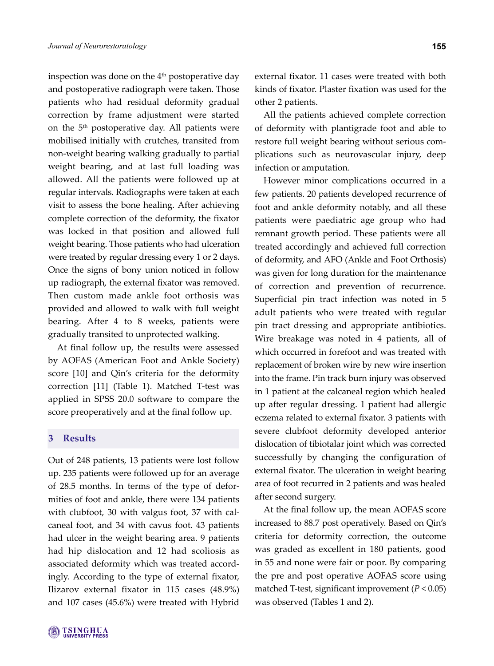inspection was done on the  $4<sup>th</sup>$  postoperative day and postoperative radiograph were taken. Those patients who had residual deformity gradual correction by frame adjustment were started on the 5<sup>th</sup> postoperative day. All patients were mobilised initially with crutches, transited from non-weight bearing walking gradually to partial weight bearing, and at last full loading was allowed. All the patients were followed up at regular intervals. Radiographs were taken at each visit to assess the bone healing. After achieving complete correction of the deformity, the fixator was locked in that position and allowed full weight bearing. Those patients who had ulceration were treated by regular dressing every 1 or 2 days. Once the signs of bony union noticed in follow up radiograph, the external fixator was removed. Then custom made ankle foot orthosis was provided and allowed to walk with full weight bearing. After 4 to 8 weeks, patients were gradually transited to unprotected walking.

At final follow up, the results were assessed by AOFAS (American Foot and Ankle Society) score [10] and Qin's criteria for the deformity correction [11] (Table 1). Matched T-test was applied in SPSS 20.0 software to compare the score preoperatively and at the final follow up.

### **3 Results**

Out of 248 patients, 13 patients were lost follow up. 235 patients were followed up for an average of 28.5 months. In terms of the type of deformities of foot and ankle, there were 134 patients with clubfoot, 30 with valgus foot, 37 with calcaneal foot, and 34 with cavus foot. 43 patients had ulcer in the weight bearing area. 9 patients had hip dislocation and 12 had scoliosis as associated deformity which was treated accordingly. According to the type of external fixator, Ilizarov external fixator in 115 cases (48.9%) and 107 cases (45.6%) were treated with Hybrid external fixator. 11 cases were treated with both kinds of fixator. Plaster fixation was used for the other 2 patients.

All the patients achieved complete correction of deformity with plantigrade foot and able to restore full weight bearing without serious complications such as neurovascular injury, deep infection or amputation.

However minor complications occurred in a few patients. 20 patients developed recurrence of foot and ankle deformity notably, and all these patients were paediatric age group who had remnant growth period. These patients were all treated accordingly and achieved full correction of deformity, and AFO (Ankle and Foot Orthosis) was given for long duration for the maintenance of correction and prevention of recurrence. Superficial pin tract infection was noted in 5 adult patients who were treated with regular pin tract dressing and appropriate antibiotics. Wire breakage was noted in 4 patients, all of which occurred in forefoot and was treated with replacement of broken wire by new wire insertion into the frame. Pin track burn injury was observed in 1 patient at the calcaneal region which healed up after regular dressing. 1 patient had allergic eczema related to external fixator. 3 patients with severe clubfoot deformity developed anterior dislocation of tibiotalar joint which was corrected successfully by changing the configuration of external fixator. The ulceration in weight bearing area of foot recurred in 2 patients and was healed after second surgery.

At the final follow up, the mean AOFAS score increased to 88.7 post operatively. Based on Qin's criteria for deformity correction, the outcome was graded as excellent in 180 patients, good in 55 and none were fair or poor. By comparing the pre and post operative AOFAS score using matched T-test, significant improvement (*P* < 0.05) was observed (Tables 1 and 2).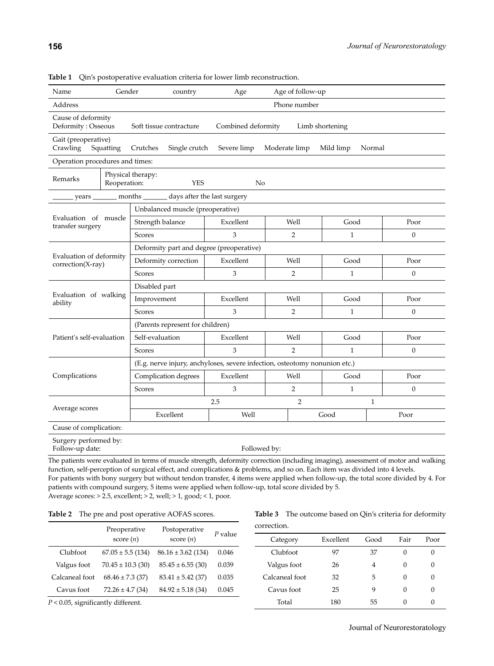|                                                                                                                                  |              | <b>Table 1</b> – Qin's postoperative evaluation criteria for lower limb reconstruction. |                                       |                |              |  |                  |
|----------------------------------------------------------------------------------------------------------------------------------|--------------|-----------------------------------------------------------------------------------------|---------------------------------------|----------------|--------------|--|------------------|
| Name                                                                                                                             | Gender       | country                                                                                 | Age of follow-up<br>Age               |                |              |  |                  |
| Address                                                                                                                          |              |                                                                                         | Phone number                          |                |              |  |                  |
| Cause of deformity<br>Deformity: Osseous                                                                                         |              | Soft tissue contracture                                                                 | Combined deformity<br>Limb shortening |                |              |  |                  |
| Gait (preoperative)<br>Squatting<br>Crawling<br>Crutches<br>Severe limp<br>Single crutch<br>Moderate limp<br>Mild limp<br>Normal |              |                                                                                         |                                       |                |              |  |                  |
| Operation procedures and times:                                                                                                  |              |                                                                                         |                                       |                |              |  |                  |
| Remarks                                                                                                                          | Reoperation: | Physical therapy:<br><b>YES</b><br>N <sub>o</sub>                                       |                                       |                |              |  |                  |
| ______ years _________ months ________ days after the last surgery                                                               |              |                                                                                         |                                       |                |              |  |                  |
|                                                                                                                                  |              | Unbalanced muscle (preoperative)                                                        |                                       |                |              |  |                  |
| Evaluation of muscle<br>transfer surgery                                                                                         |              | Strength balance                                                                        | Excellent                             | Well           | Good         |  | Poor             |
|                                                                                                                                  |              | <b>Scores</b>                                                                           | 3                                     | $\overline{2}$ | $\mathbf{1}$ |  | $\overline{0}$   |
|                                                                                                                                  |              | Deformity part and degree (preoperative)                                                |                                       |                |              |  |                  |
| Evaluation of deformity<br>correction(X-ray)                                                                                     |              | Deformity correction                                                                    | Excellent                             | Well           | Good         |  | Poor             |
|                                                                                                                                  |              | <b>Scores</b>                                                                           | 3                                     | 2              | $\mathbf{1}$ |  | $\mathbf{0}$     |
|                                                                                                                                  |              | Disabled part                                                                           |                                       |                |              |  |                  |
| Evaluation of walking<br>ability                                                                                                 |              | Improvement                                                                             | Excellent                             | Well           | Good         |  | Poor             |
|                                                                                                                                  |              | <b>Scores</b>                                                                           | 3                                     | $\overline{2}$ | $\mathbf{1}$ |  | $\Omega$         |
| Patient's self-evaluation                                                                                                        |              | (Parents represent for children)                                                        |                                       |                |              |  |                  |
|                                                                                                                                  |              | Self-evaluation                                                                         | Excellent                             | Well           | Good         |  | Poor             |
|                                                                                                                                  |              | <b>Scores</b>                                                                           | 3                                     | $\overline{2}$ | $\mathbf{1}$ |  | $\mathbf{0}$     |
| (E.g. nerve injury, anchyloses, severe infection, osteotomy nonunion etc.)                                                       |              |                                                                                         |                                       |                |              |  |                  |
| Complications                                                                                                                    |              | Complication degrees                                                                    | Excellent                             | Well           | Good         |  | Poor             |
|                                                                                                                                  |              | <b>Scores</b>                                                                           | 3                                     | $\overline{2}$ | $\mathbf{1}$ |  | $\boldsymbol{0}$ |
| Average scores                                                                                                                   |              | 2.5                                                                                     |                                       | $\overline{2}$ | $\mathbf{1}$ |  |                  |
|                                                                                                                                  |              | Excellent                                                                               | Well                                  |                | Good         |  | Poor             |
| Cause of complication:                                                                                                           |              |                                                                                         |                                       |                |              |  |                  |
| Surgery performed by:<br>Follow-up date:                                                                                         |              |                                                                                         |                                       | Followed by:   |              |  |                  |

**Table 1** Qin's postoperative evaluation criteria for lower limb reconstruction.

The patients were evaluated in terms of muscle strength, deformity correction (including imaging), assessment of motor and walking function, self-perception of surgical effect, and complications & problems, and so on. Each item was divided into 4 levels. For patients with bony surgery but without tendon transfer, 4 items were applied when follow-up, the total score divided by 4. For patients with compound surgery, 5 items were applied when follow-up, total score divided by 5. Average scores: > 2.5, excellent; > 2, well; > 1, good; < 1, poor.

|  | Table 2 The pre and post operative AOFAS scores. |  |  |  |
|--|--------------------------------------------------|--|--|--|
|--|--------------------------------------------------|--|--|--|

|                                       | Preoperative<br>score $(n)$ | Postoperative<br>score $(n)$ | P value |  |
|---------------------------------------|-----------------------------|------------------------------|---------|--|
| Clubfoot                              | $67.05 \pm 5.5$ (134)       | $86.16 \pm 3.62$ (134)       | 0.046   |  |
| Valgus foot                           | $70.45 \pm 10.3$ (30)       | $85.45 \pm 6.55(30)$         | 0.039   |  |
| Calcaneal foot                        | $68.46 \pm 7.3$ (37)        | $83.41 \pm 5.42$ (37)        | 0.035   |  |
| Cavus foot                            | $72.26 \pm 4.7$ (34)        | $84.92 \pm 5.18(34)$         | 0.045   |  |
| $P < 0.05$ , significantly different. |                             |                              |         |  |

**Table 3** The outcome based on Qin's criteria for deformity correction.

| Category       | Excellent | Good | Fair             | Poor   |
|----------------|-----------|------|------------------|--------|
| Clubfoot       | 97        | 37   | 0                | $\cup$ |
| Valgus foot    | 26        | 4    | 0                | 0      |
| Calcaneal foot | 32        | 5    |                  | 0      |
| Cavus foot     | 25        | 9    |                  | 0      |
| Total          | 180       | 55   | $\left( \right)$ | 0      |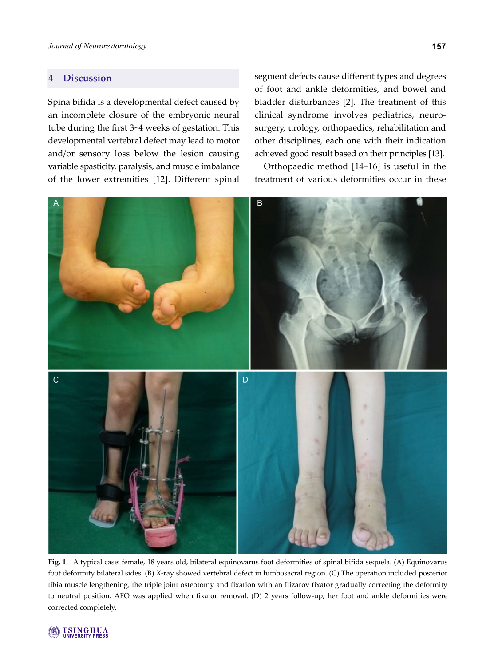## **4 Discussion**

Spina bifida is a developmental defect caused by an incomplete closure of the embryonic neural tube during the first 3~4 weeks of gestation. This developmental vertebral defect may lead to motor and/or sensory loss below the lesion causing variable spasticity, paralysis, and muscle imbalance of the lower extremities [12]. Different spinal

segment defects cause different types and degrees of foot and ankle deformities, and bowel and bladder disturbances [2]. The treatment of this clinical syndrome involves pediatrics, neurosurgery, urology, orthopaedics, rehabilitation and other disciplines, each one with their indication achieved good result based on their principles [13].

Orthopaedic method [14–16] is useful in the treatment of various deformities occur in these



**Fig. 1** A typical case: female, 18 years old, bilateral equinovarus foot deformities of spinal bifida sequela. (A) Equinovarus foot deformity bilateral sides. (B) X-ray showed vertebral defect in lumbosacral region. (C) The operation included posterior tibia muscle lengthening, the triple joint osteotomy and fixation with an Ilizarov fixator gradually correcting the deformity to neutral position. AFO was applied when fixator removal. (D) 2 years follow-up, her foot and ankle deformities were corrected completely.

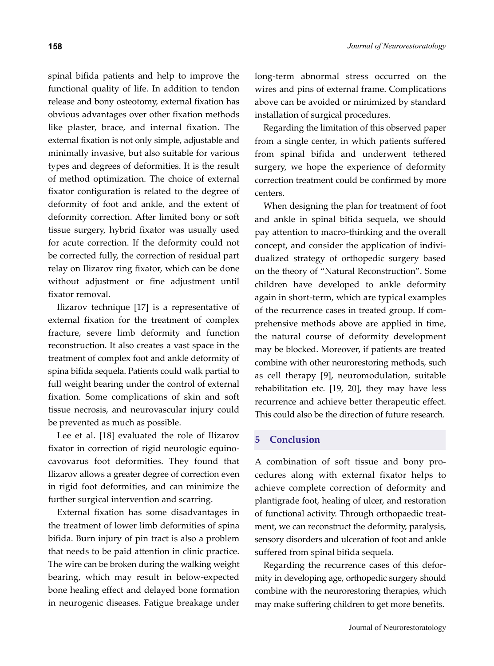spinal bifida patients and help to improve the functional quality of life. In addition to tendon release and bony osteotomy, external fixation has obvious advantages over other fixation methods like plaster, brace, and internal fixation. The external fixation is not only simple, adjustable and minimally invasive, but also suitable for various types and degrees of deformities. It is the result of method optimization. The choice of external fixator configuration is related to the degree of deformity of foot and ankle, and the extent of deformity correction. After limited bony or soft tissue surgery, hybrid fixator was usually used for acute correction. If the deformity could not be corrected fully, the correction of residual part relay on Ilizarov ring fixator, which can be done without adjustment or fine adjustment until fixator removal.

Ilizarov technique [17] is a representative of external fixation for the treatment of complex fracture, severe limb deformity and function reconstruction. It also creates a vast space in the treatment of complex foot and ankle deformity of spina bifida sequela. Patients could walk partial to full weight bearing under the control of external fixation. Some complications of skin and soft tissue necrosis, and neurovascular injury could be prevented as much as possible.

Lee et al. [18] evaluated the role of Ilizarov fixator in correction of rigid neurologic equinocavovarus foot deformities. They found that Ilizarov allows a greater degree of correction even in rigid foot deformities, and can minimize the further surgical intervention and scarring.

External fixation has some disadvantages in the treatment of lower limb deformities of spina bifida. Burn injury of pin tract is also a problem that needs to be paid attention in clinic practice. The wire can be broken during the walking weight bearing, which may result in below-expected bone healing effect and delayed bone formation in neurogenic diseases. Fatigue breakage under

long-term abnormal stress occurred on the wires and pins of external frame. Complications above can be avoided or minimized by standard installation of surgical procedures.

Regarding the limitation of this observed paper from a single center, in which patients suffered from spinal bifida and underwent tethered surgery, we hope the experience of deformity correction treatment could be confirmed by more centers.

When designing the plan for treatment of foot and ankle in spinal bifida sequela, we should pay attention to macro-thinking and the overall concept, and consider the application of individualized strategy of orthopedic surgery based on the theory of "Natural Reconstruction". Some children have developed to ankle deformity again in short-term, which are typical examples of the recurrence cases in treated group. If comprehensive methods above are applied in time, the natural course of deformity development may be blocked. Moreover, if patients are treated combine with other neurorestoring methods, such as cell therapy [9], neuromodulation, suitable rehabilitation etc. [19, 20], they may have less recurrence and achieve better therapeutic effect. This could also be the direction of future research.

### **5 Conclusion**

A combination of soft tissue and bony procedures along with external fixator helps to achieve complete correction of deformity and plantigrade foot, healing of ulcer, and restoration of functional activity. Through orthopaedic treatment, we can reconstruct the deformity, paralysis, sensory disorders and ulceration of foot and ankle suffered from spinal bifida sequela.

Regarding the recurrence cases of this deformity in developing age, orthopedic surgery should combine with the neurorestoring therapies, which may make suffering children to get more benefits.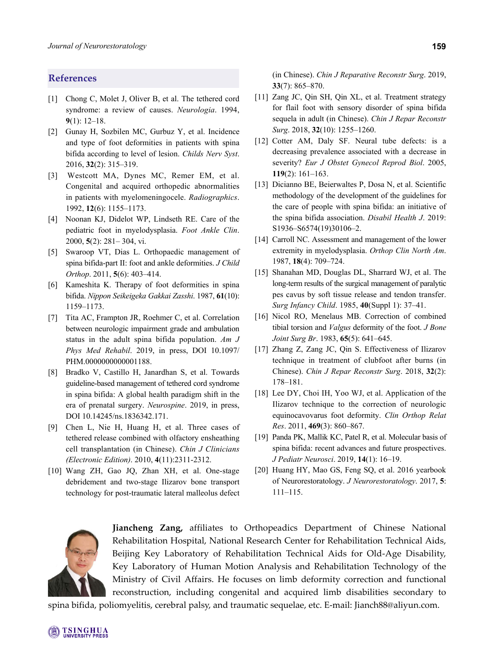### **References**

- [1] Chong C, Molet J, Oliver B, et al. The tethered cord syndrome: a review of causes. *Neurologia*. 1994, **9**(1): 12–18.
- [2] Gunay H, Sozbilen MC, Gurbuz Y, et al. Incidence and type of foot deformities in patients with spina bifida according to level of lesion. *Childs Nerv Syst*. 2016, **32**(2): 315–319.
- [3] Westcott MA, Dynes MC, Remer EM, et al. Congenital and acquired orthopedic abnormalities in patients with myelomeningocele. *Radiographics*. 1992, **12**(6): 1155–1173.
- [4] Noonan KJ, Didelot WP, Lindseth RE. Care of the pediatric foot in myelodysplasia. *Foot Ankle Clin*. 2000, **5**(2): 281– 304, vi.
- [5] Swaroop VT, Dias L. Orthopaedic management of spina bifida-part II: foot and ankle deformities. *J Child Orthop*. 2011, **5**(6): 403–414.
- [6] Kameshita K. Therapy of foot deformities in spina bifida. *Nippon Seikeigeka Gakkai Zasshi*. 1987, **61**(10): 1159–1173.
- [7] Tita AC, Frampton JR, Roehmer C, et al. Correlation between neurologic impairment grade and ambulation status in the adult spina bifida population. *Am J Phys Med Rehabil*. 2019, in press, DOI 10.1097/ PHM.0000000000001188.
- [8] Bradko V, Castillo H, Janardhan S, et al. Towards guideline-based management of tethered cord syndrome in spina bifida: A global health paradigm shift in the era of prenatal surgery. *Neurospine*. 2019, in press, DOI 10.14245/ns.1836342.171.
- [9] Chen L, Nie H, Huang H, et al. Three cases of tethered release combined with olfactory ensheathing cell transplantation (in Chinese). *Chin J Clinicians (Electronic Edition)*. 2010, **4**(11):2311-2312.
- [10] Wang ZH, Gao JQ, Zhan XH, et al. One-stage debridement and two-stage Ilizarov bone transport technology for post-traumatic lateral malleolus defect

(in Chinese). *Chin J Reparative Reconstr Surg*. 2019, **33**(7): 865–870.

- [11] Zang JC, Qin SH, Qin XL, et al. Treatment strategy for flail foot with sensory disorder of spina bifida sequela in adult (in Chinese). *Chin J Repar Reconstr Surg*. 2018, **32**(10): 1255–1260.
- [12] Cotter AM, Daly SF. Neural tube defects: is a decreasing prevalence associated with a decrease in severity? *Eur J Obstet Gynecol Reprod Biol*. 2005, **119**(2): 161–163.
- [13] Dicianno BE, Beierwaltes P, Dosa N, et al. Scientific methodology of the development of the guidelines for the care of people with spina bifida: an initiative of the spina bifida association. *Disabil Health J*. 2019: S1936–S6574(19)30106–2.
- [14] Carroll NC. Assessment and management of the lower extremity in myelodysplasia. *Orthop Clin North Am*. 1987, **18**(4): 709–724.
- [15] Shanahan MD, Douglas DL, Sharrard WJ, et al. The long-term results of the surgical management of paralytic pes cavus by soft tissue release and tendon transfer. *Surg Infancy Child*. 1985, **40**(Suppl 1): 37–41.
- [16] Nicol RO, Menelaus MB. Correction of combined tibial torsion and *Valgus* deformity of the foot. *J Bone Joint Surg Br*. 1983, **65**(5): 641–645.
- [17] Zhang Z, Zang JC, Qin S. Effectiveness of Ilizarov technique in treatment of clubfoot after burns (in Chinese). *Chin J Repar Reconstr Surg*. 2018, **32**(2): 178–181.
- [18] Lee DY, Choi IH, Yoo WJ, et al. Application of the Ilizarov technique to the correction of neurologic equinocavovarus foot deformity. *Clin Orthop Relat Res*. 2011, **469**(3): 860–867.
- [19] Panda PK, Mallik KC, Patel R, et al. Molecular basis of spina bifida: recent advances and future prospectives. *J Pediatr Neurosci*. 2019, **14**(1): 16–19.
- [20] Huang HY, Mao GS, Feng SQ, et al. 2016 yearbook of Neurorestoratology. *J Neurorestoratology*. 2017, **5**: 111–115.



**Jiancheng Zang,** affiliates to Orthopeadics Department of Chinese National Rehabilitation Hospital, National Research Center for Rehabilitation Technical Aids, Beijing Key Laboratory of Rehabilitation Technical Aids for Old-Age Disability, Key Laboratory of Human Motion Analysis and Rehabilitation Technology of the Ministry of Civil Affairs. He focuses on limb deformity correction and functional reconstruction, including congenital and acquired limb disabilities secondary to

spina bifida, poliomyelitis, cerebral palsy, and traumatic sequelae, etc. E-mail: Jianch88@aliyun.com.